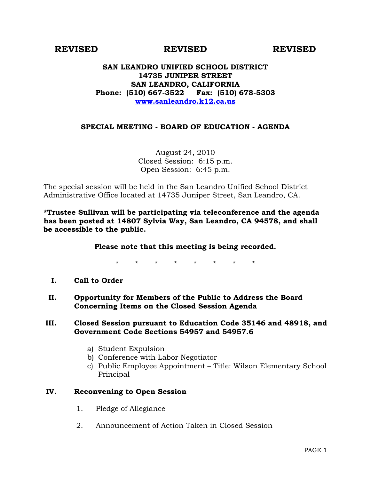# **REVISED REVISED REVISED**

## **SAN LEANDRO UNIFIED SCHOOL DISTRICT 14735 JUNIPER STREET SAN LEANDRO, CALIFORNIA Phone: (510) 667-3522 Fax: (510) 678-5303 [www.sanleandro.k12.ca.us](http://www.sanleandro.k12.ca.us/)**

# **SPECIAL MEETING - BOARD OF EDUCATION - AGENDA**

August 24, 2010 Closed Session: 6:15 p.m. Open Session: 6:45 p.m.

The special session will be held in the San Leandro Unified School District Administrative Office located at 14735 Juniper Street, San Leandro, CA.

**\*Trustee Sullivan will be participating via teleconference and the agenda has been posted at 14807 Sylvia Way, San Leandro, CA 94578, and shall be accessible to the public.** 

### **Please note that this meeting is being recorded.**

\* \* \* \* \* \* \* \*

- **I. Call to Order**
- **II. Opportunity for Members of the Public to Address the Board Concerning Items on the Closed Session Agenda**

#### **III. Closed Session pursuant to Education Code 35146 and 48918, and Government Code Sections 54957 and 54957.6**

- a) Student Expulsion
- b) Conference with Labor Negotiator
- c) Public Employee Appointment Title: Wilson Elementary School Principal

### **IV. Reconvening to Open Session**

- 1. Pledge of Allegiance
- 2. Announcement of Action Taken in Closed Session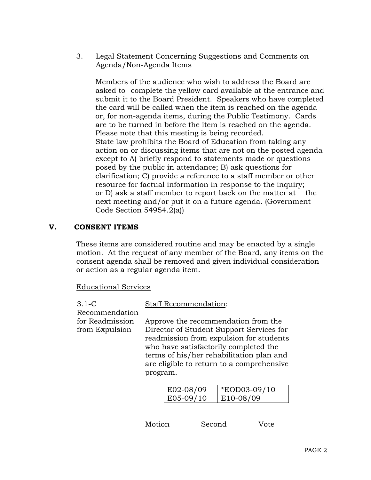3. Legal Statement Concerning Suggestions and Comments on Agenda/Non-Agenda Items

 Members of the audience who wish to address the Board are asked to complete the yellow card available at the entrance and submit it to the Board President. Speakers who have completed the card will be called when the item is reached on the agenda or, for non-agenda items, during the Public Testimony. Cards are to be turned in before the item is reached on the agenda. Please note that this meeting is being recorded. State law prohibits the Board of Education from taking any action on or discussing items that are not on the posted agenda except to A) briefly respond to statements made or questions posed by the public in attendance; B) ask questions for clarification; C) provide a reference to a staff member or other resource for factual information in response to the inquiry; or D) ask a staff member to report back on the matter at the next meeting and/or put it on a future agenda. (Government Code Section 54954.2(a))

# **V. CONSENT ITEMS**

These items are considered routine and may be enacted by a single motion. At the request of any member of the Board, any items on the consent agenda shall be removed and given individual consideration or action as a regular agenda item.

Educational Services

| $3.1-C$                           | <b>Staff Recommendation:</b>                                                                                                                                                                                                                                             |  |  |  |
|-----------------------------------|--------------------------------------------------------------------------------------------------------------------------------------------------------------------------------------------------------------------------------------------------------------------------|--|--|--|
| Recommendation                    |                                                                                                                                                                                                                                                                          |  |  |  |
| for Readmission<br>from Expulsion | Approve the recommendation from the<br>Director of Student Support Services for<br>readmission from expulsion for students<br>who have satisfactorily completed the<br>terms of his/her rehabilitation plan and<br>are eligible to return to a comprehensive<br>program. |  |  |  |
|                                   | *EOD03-09/                                                                                                                                                                                                                                                               |  |  |  |

| $E02-08/09$ | <i>*EOD03-09/10</i> |
|-------------|---------------------|
| E05-09/10   | E10-08/09           |

Motion Second Vote